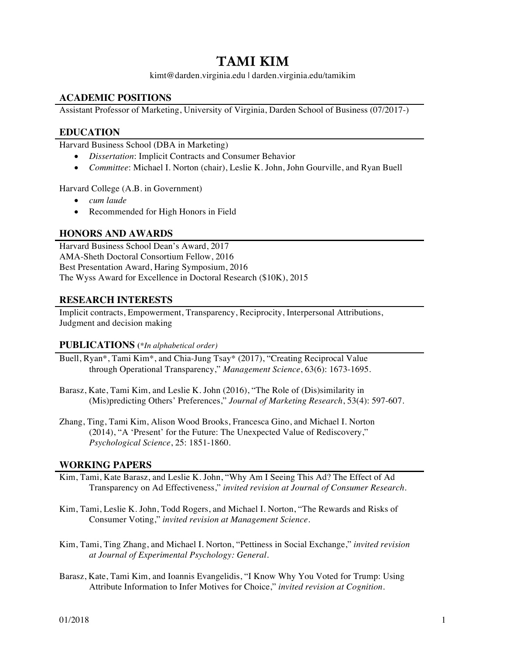# **TAMI KIM**

kimt@darden.virginia.edu | darden.virginia.edu/tamikim

## **ACADEMIC POSITIONS**

Assistant Professor of Marketing, University of Virginia, Darden School of Business (07/2017-)

## **EDUCATION**

Harvard Business School (DBA in Marketing)

- *Dissertation*: Implicit Contracts and Consumer Behavior
- *Committee*: Michael I. Norton (chair), Leslie K. John, John Gourville, and Ryan Buell

Harvard College (A.B. in Government)

- *cum laude*
- Recommended for High Honors in Field

## **HONORS AND AWARDS**

Harvard Business School Dean's Award, 2017 AMA-Sheth Doctoral Consortium Fellow, 2016 Best Presentation Award, Haring Symposium, 2016 The Wyss Award for Excellence in Doctoral Research (\$10K), 2015

### **RESEARCH INTERESTS**

Implicit contracts, Empowerment, Transparency, Reciprocity, Interpersonal Attributions, Judgment and decision making

#### **PUBLICATIONS (***\*In alphabetical order)*

- Buell, Ryan\*, Tami Kim\*, and Chia-Jung Tsay\* (2017), "Creating Reciprocal Value through Operational Transparency," *Management Science*, 63(6): 1673-1695.
- Barasz, Kate, Tami Kim, and Leslie K. John (2016), "The Role of (Dis)similarity in (Mis)predicting Others' Preferences," *Journal of Marketing Research*, 53(4): 597-607.
- Zhang, Ting, Tami Kim, Alison Wood Brooks, Francesca Gino, and Michael I. Norton (2014), "A 'Present' for the Future: The Unexpected Value of Rediscovery," *Psychological Science*, 25: 1851-1860.

#### **WORKING PAPERS**

- Kim, Tami, Kate Barasz, and Leslie K. John, "Why Am I Seeing This Ad? The Effect of Ad Transparency on Ad Effectiveness," *invited revision at Journal of Consumer Research.*
- Kim, Tami, Leslie K. John, Todd Rogers, and Michael I. Norton, "The Rewards and Risks of Consumer Voting," *invited revision at Management Science*.
- Kim, Tami, Ting Zhang, and Michael I. Norton, "Pettiness in Social Exchange," *invited revision at Journal of Experimental Psychology: General.*
- Barasz, Kate, Tami Kim, and Ioannis Evangelidis, "I Know Why You Voted for Trump: Using Attribute Information to Infer Motives for Choice," *invited revision at Cognition.*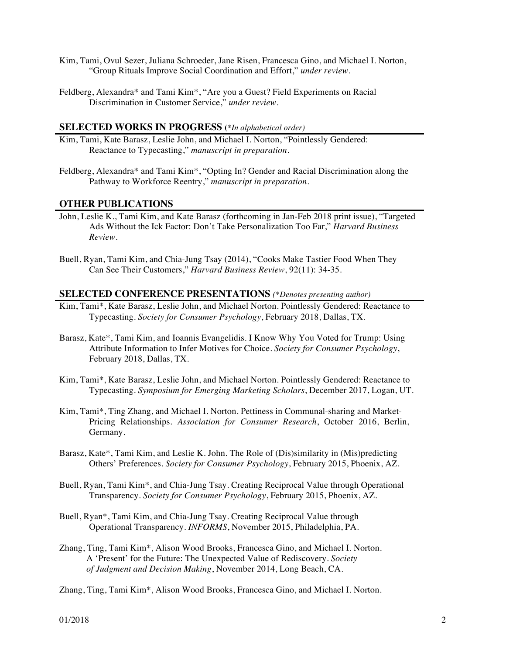- Kim, Tami, Ovul Sezer, Juliana Schroeder, Jane Risen, Francesca Gino, and Michael I. Norton, "Group Rituals Improve Social Coordination and Effort," *under review*.
- Feldberg, Alexandra\* and Tami Kim\*, "Are you a Guest? Field Experiments on Racial Discrimination in Customer Service," *under review.*

#### **SELECTED WORKS IN PROGRESS (***\*In alphabetical order)*

- Kim, Tami, Kate Barasz, Leslie John, and Michael I. Norton, "Pointlessly Gendered: Reactance to Typecasting," *manuscript in preparation.*
- Feldberg, Alexandra\* and Tami Kim\*, "Opting In? Gender and Racial Discrimination along the Pathway to Workforce Reentry," *manuscript in preparation.*

#### **OTHER PUBLICATIONS**

- John, Leslie K., Tami Kim, and Kate Barasz (forthcoming in Jan-Feb 2018 print issue), "Targeted Ads Without the Ick Factor: Don't Take Personalization Too Far," *Harvard Business Review*.
- Buell, Ryan, Tami Kim, and Chia-Jung Tsay (2014), "Cooks Make Tastier Food When They Can See Their Customers," *Harvard Business Review*, 92(11): 34-35.

#### **SELECTED CONFERENCE PRESENTATIONS** *(\*Denotes presenting author)*

- Kim, Tami\*, Kate Barasz, Leslie John, and Michael Norton. Pointlessly Gendered: Reactance to Typecasting. *Society for Consumer Psychology*, February 2018, Dallas, TX.
- Barasz, Kate\*, Tami Kim, and Ioannis Evangelidis. I Know Why You Voted for Trump: Using Attribute Information to Infer Motives for Choice. *Society for Consumer Psychology*, February 2018, Dallas, TX.
- Kim, Tami\*, Kate Barasz, Leslie John, and Michael Norton. Pointlessly Gendered: Reactance to Typecasting. *Symposium for Emerging Marketing Scholars*, December 2017, Logan, UT.
- Kim, Tami\*, Ting Zhang, and Michael I. Norton. Pettiness in Communal-sharing and Market-Pricing Relationships. *Association for Consumer Research*, October 2016, Berlin, Germany.
- Barasz, Kate\*, Tami Kim, and Leslie K. John. The Role of (Dis)similarity in (Mis)predicting Others' Preferences. *Society for Consumer Psychology*, February 2015, Phoenix, AZ.
- Buell, Ryan, Tami Kim\*, and Chia-Jung Tsay. Creating Reciprocal Value through Operational Transparency. *Society for Consumer Psychology*, February 2015, Phoenix, AZ.
- Buell, Ryan\*, Tami Kim, and Chia-Jung Tsay. Creating Reciprocal Value through Operational Transparency. *INFORMS*, November 2015, Philadelphia, PA.
- Zhang, Ting, Tami Kim\*, Alison Wood Brooks, Francesca Gino, and Michael I. Norton. A 'Present' for the Future: The Unexpected Value of Rediscovery. *Society of Judgment and Decision Making*, November 2014, Long Beach, CA.
- Zhang, Ting, Tami Kim\*, Alison Wood Brooks, Francesca Gino, and Michael I. Norton.